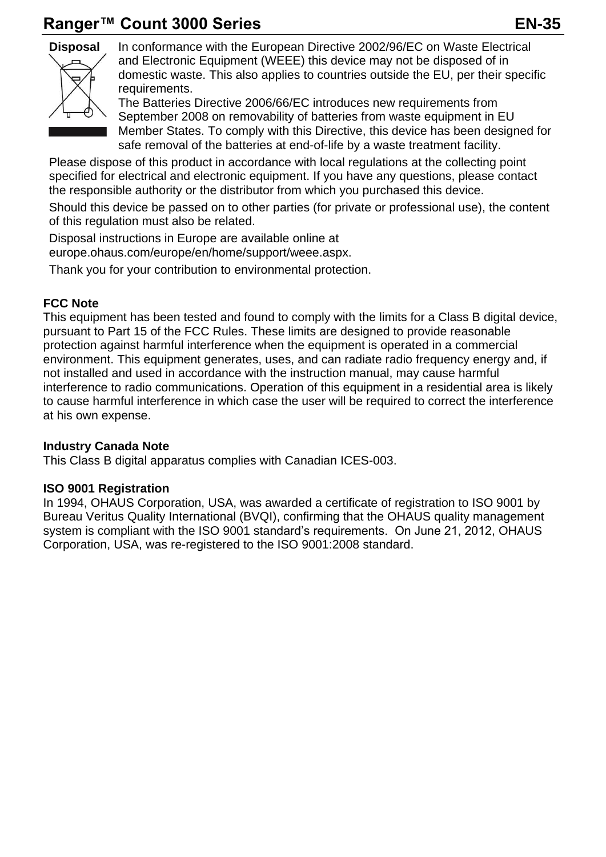# **Ranger™ Count 3000 Series EN-35**



**Disposal** In conformance with the European Directive 2002/96/EC on Waste Electrical and Electronic Equipment (WEEE) this device may not be disposed of in domestic waste. This also applies to countries outside the EU, per their specific requirements.

> The Batteries Directive 2006/66/EC introduces new requirements from September 2008 on removability of batteries from waste equipment in EU Member States. To comply with this Directive, this device has been designed for safe removal of the batteries at end-of-life by a waste treatment facility.

Please dispose of this product in accordance with local regulations at the collecting point specified for electrical and electronic equipment. If you have any questions, please contact the responsible authority or the distributor from which you purchased this device.

Should this device be passed on to other parties (for private or professional use), the content of this regulation must also be related.

Disposal instructions in Europe are available online at europe.ohaus.com/europe/en/home/support/weee.aspx.

Thank you for your contribution to environmental protection.

### **FCC Note**

This equipment has been tested and found to comply with the limits for a Class B digital device, pursuant to Part 15 of the FCC Rules. These limits are designed to provide reasonable protection against harmful interference when the equipment is operated in a commercial environment. This equipment generates, uses, and can radiate radio frequency energy and, if not installed and used in accordance with the instruction manual, may cause harmful interference to radio communications. Operation of this equipment in a residential area is likely to cause harmful interference in which case the user will be required to correct the interference at his own expense.

#### **Industry Canada Note**

This Class B digital apparatus complies with Canadian ICES-003.

#### **ISO 9001 Registration**

In 1994, OHAUS Corporation, USA, was awarded a certificate of registration to ISO 9001 by Bureau Veritus Quality International (BVQI), confirming that the OHAUS quality management system is compliant with the ISO 9001 standard's requirements. On June 21, 2012, OHAUS Corporation, USA, was re-registered to the ISO 9001:2008 standard.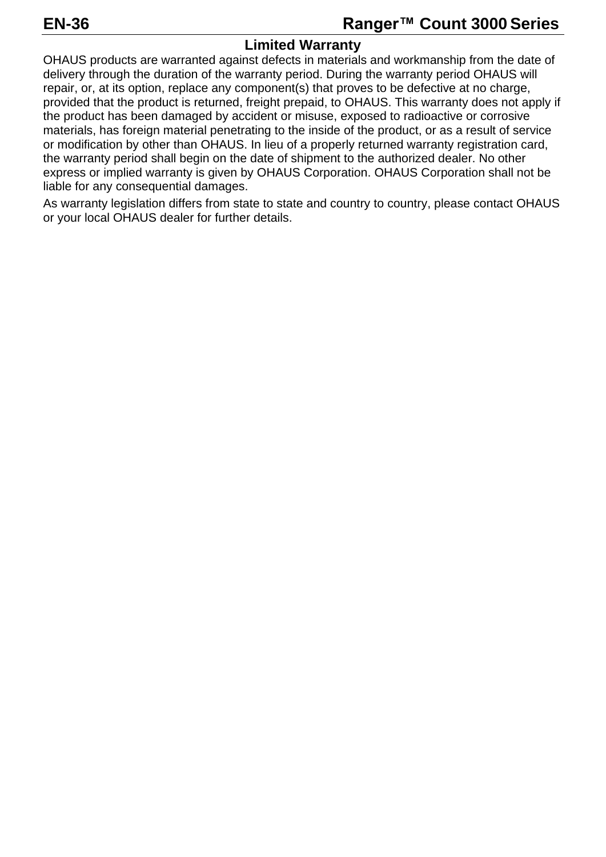## **Limited Warranty**

OHAUS products are warranted against defects in materials and workmanship from the date of delivery through the duration of the warranty period. During the warranty period OHAUS will repair, or, at its option, replace any component(s) that proves to be defective at no charge, provided that the product is returned, freight prepaid, to OHAUS. This warranty does not apply if the product has been damaged by accident or misuse, exposed to radioactive or corrosive materials, has foreign material penetrating to the inside of the product, or as a result of service or modification by other than OHAUS. In lieu of a properly returned warranty registration card, the warranty period shall begin on the date of shipment to the authorized dealer. No other express or implied warranty is given by OHAUS Corporation. OHAUS Corporation shall not be liable for any consequential damages.

As warranty legislation differs from state to state and country to country, please contact OHAUS or your local OHAUS dealer for further details.